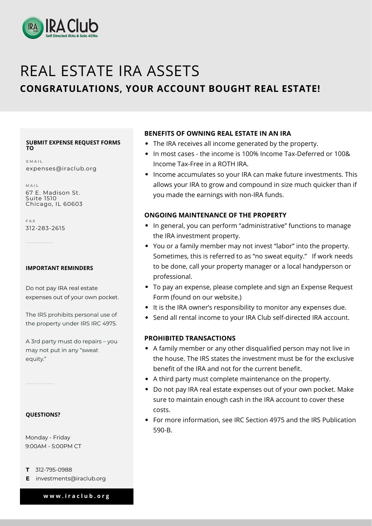

# REAL ESTATE IRA ASSETS

# **CONGRATULATIONS, YOUR ACCOUNT BOUGHT REAL ESTATE!**

#### **SUBMIT EXPENSE REQUEST FORMS TO**

**E M A I L** expenses@iraclub.org

**M A I L**

Do not pay IRA real estate expenses out of your own pocket.

67 E. Madison St. Suite 1510 Chicago, IL 60603

**F A X** 312-283-2615

#### **IMPORTANT REMINDERS**

The IRS prohibits personal use of the property under IRS IRC 4975.

A 3rd party must do repairs – you may not put in any "sweat equity."

- The IRA receives all income generated by the property.
- In most cases the income is 100% Income Tax-Deferred or 100&  $\bullet$ Income Tax-Free in a ROTH IRA.
- Income accumulates so your IRA can make future investments. This  $\bullet$ allows your IRA to grow and compound in size much quicker than if

#### **QUESTIONS?**

- **T** 312-795-0988
- **E** investments@iraclub.org

**w w w . i r a c l u b . o r g**

Monday - Friday 9:00AM - 5:00PM CT

# **BENEFITS OF OWNING REAL ESTATE IN AN IRA**

you made the earnings with non-IRA funds.

# **ONGOING MAINTENANCE OF THE PROPERTY**

- In general, you can perform "administrative" functions to manage the IRA investment property.
- You or a family member may not invest "labor" into the property. Sometimes, this is referred to as "no sweat equity." If work needs to be done, call your property manager or a local handyperson or professional.
- To pay an expense, please complete and sign an Expense Request Form (found on our website.)
- It is the IRA owner's responsibility to monitor any expenses due.
- Send all rental income to your IRA Club self-directed IRA account.  $\bullet$

### **PROHIBITED TRANSACTIONS**

A family member or any other disqualified person may not live in the house. The IRS states the investment must be for the exclusive benefit of the IRA and not for the current benefit.

- A third party must complete maintenance on the property.
- Do not pay IRA real estate expenses out of your own pocket. Make  $\bullet$ sure to maintain enough cash in the IRA account to cover these costs.
- For more information, see IRC Section 4975 and the IRS Publication  $\bullet$ 590-B.